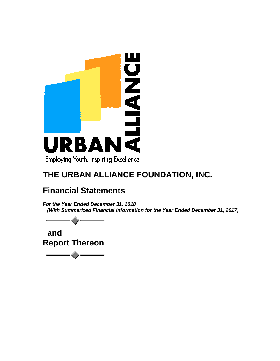

# **Financial Statements**

*For the Year Ended December 31, 2018 (With Summarized Financial Information for the Year Ended December 31, 2017)*

 **and Report Thereon**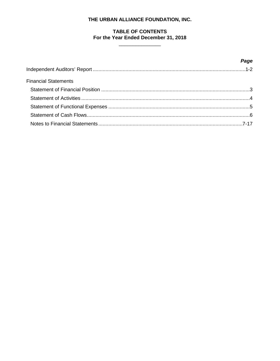# TABLE OF CONTENTS For the Year Ended December 31, 2018

| <b>Financial Statements</b> | Page |
|-----------------------------|------|
|                             |      |
|                             |      |
|                             |      |
|                             |      |
|                             |      |
|                             |      |
|                             |      |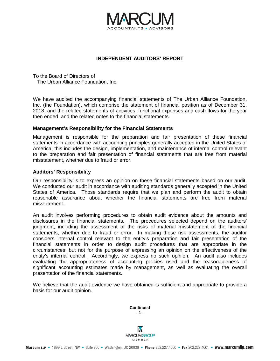

#### **INDEPENDENT AUDITORS' REPORT**

To the Board of Directors of The Urban Alliance Foundation, Inc.

We have audited the accompanying financial statements of The Urban Alliance Foundation, Inc. (the Foundation), which comprise the statement of financial position as of December 31, 2018, and the related statements of activities, functional expenses and cash flows for the year then ended, and the related notes to the financial statements.

#### **Management's Responsibility for the Financial Statements**

Management is responsible for the preparation and fair presentation of these financial statements in accordance with accounting principles generally accepted in the United States of America; this includes the design, implementation, and maintenance of internal control relevant to the preparation and fair presentation of financial statements that are free from material misstatement, whether due to fraud or error.

#### **Auditors' Responsibility**

Our responsibility is to express an opinion on these financial statements based on our audit. We conducted our audit in accordance with auditing standards generally accepted in the United States of America. Those standards require that we plan and perform the audit to obtain reasonable assurance about whether the financial statements are free from material misstatement.

An audit involves performing procedures to obtain audit evidence about the amounts and disclosures in the financial statements. The procedures selected depend on the auditors' judgment, including the assessment of the risks of material misstatement of the financial statements, whether due to fraud or error. In making those risk assessments, the auditor considers internal control relevant to the entity's preparation and fair presentation of the financial statements in order to design audit procedures that are appropriate in the circumstances, but not for the purpose of expressing an opinion on the effectiveness of the entity's internal control. Accordingly, we express no such opinion. An audit also includes evaluating the appropriateness of accounting policies used and the reasonableness of significant accounting estimates made by management, as well as evaluating the overall presentation of the financial statements.

We believe that the audit evidence we have obtained is sufficient and appropriate to provide a basis for our audit opinion.

> **Continued - 1 -**

M **MARCUMGROUP** MEMBER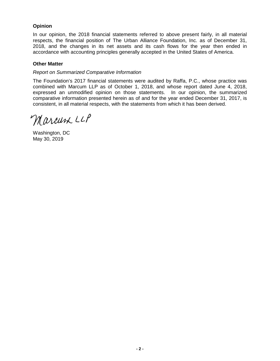## **Opinion**

In our opinion, the 2018 financial statements referred to above present fairly, in all material respects, the financial position of The Urban Alliance Foundation, Inc. as of December 31, 2018, and the changes in its net assets and its cash flows for the year then ended in accordance with accounting principles generally accepted in the United States of America.

### **Other Matter**

#### *Report on Summarized Comparative Information*

The Foundation's 2017 financial statements were audited by Raffa, P.C., whose practice was combined with Marcum LLP as of October 1, 2018, and whose report dated June 4, 2018, expressed an unmodified opinion on those statements. In our opinion, the summarized comparative information presented herein as of and for the year ended December 31, 2017, is consistent, in all material respects, with the statements from which it has been derived.

Marcum LLP

Washington, DC May 30, 2019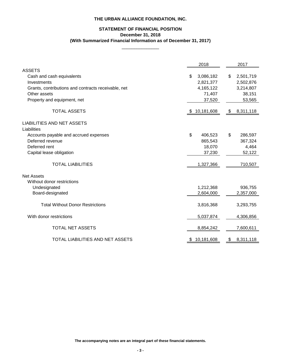#### **STATEMENT OF FINANCIAL POSITION**

## **December 31, 2018**

**(With Summarized Financial Information as of December 31, 2017)**  $\overline{\phantom{a}}$  , where  $\overline{\phantom{a}}$ 

|                                                     | 2018             | 2017            |
|-----------------------------------------------------|------------------|-----------------|
| <b>ASSETS</b>                                       |                  |                 |
| Cash and cash equivalents                           | \$<br>3,086,182  | \$<br>2,501,719 |
| Investments                                         | 2,821,377        | 2,502,876       |
| Grants, contributions and contracts receivable, net | 4,165,122        | 3,214,807       |
| Other assets                                        | 71,407           | 38,151          |
| Property and equipment, net                         | 37,520           | 53,565          |
| <b>TOTAL ASSETS</b>                                 | \$10,181,608     | \$<br>8,311,118 |
| LIABILITIES AND NET ASSETS                          |                  |                 |
| Liabilities                                         |                  |                 |
| Accounts payable and accrued expenses               | \$<br>406,523    | \$<br>286,597   |
| Deferred revenue                                    | 865,543          | 367,324         |
| Deferred rent                                       | 18,070           | 4,464           |
| Capital lease obligation                            | 37,230           | 52,122          |
| <b>TOTAL LIABILITIES</b>                            | 1,327,366        | 710,507         |
| <b>Net Assets</b>                                   |                  |                 |
| Without donor restrictions                          |                  |                 |
| Undesignated                                        | 1,212,368        | 936,755         |
| Board-designated                                    | 2,604,000        | 2,357,000       |
| <b>Total Without Donor Restrictions</b>             | 3,816,368        | 3,293,755       |
| With donor restrictions                             | 5,037,874        | 4,306,856       |
| <b>TOTAL NET ASSETS</b>                             | 8,854,242        | 7,600,611       |
| TOTAL LIABILITIES AND NET ASSETS                    | \$<br>10,181,608 | \$<br>8,311,118 |

**The accompanying notes are an integral part of these financial statements.**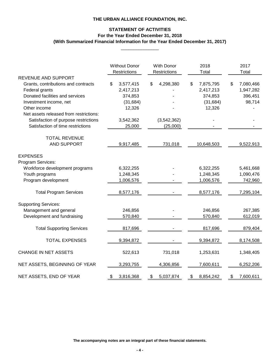## **STATEMENT OF ACTIVITIES For the Year Ended December 31, 2018 (With Summarized Financial Information for the Year Ended December 31, 2017)**

\_\_\_\_\_\_\_\_\_\_\_\_\_\_\_

|                                                                                                                    | <b>Without Donor</b><br><b>Restrictions</b>          | <b>With Donor</b><br>Restrictions | 2018<br>Total                                        |     | 2017<br>Total                               |
|--------------------------------------------------------------------------------------------------------------------|------------------------------------------------------|-----------------------------------|------------------------------------------------------|-----|---------------------------------------------|
| <b>REVENUE AND SUPPORT</b>                                                                                         |                                                      |                                   |                                                      |     |                                             |
| Grants, contributions and contracts<br>Federal grants<br>Donated facilities and services<br>Investment income, net | \$<br>3,577,415<br>2,417,213<br>374,853<br>(31, 684) | \$<br>4,298,380                   | \$<br>7,875,795<br>2,417,213<br>374,853<br>(31, 684) | \$  | 7,080,466<br>1,947,282<br>396,451<br>98,714 |
| Other income                                                                                                       | 12,326                                               |                                   | 12,326                                               |     |                                             |
| Net assets released from restrictions:                                                                             |                                                      |                                   |                                                      |     |                                             |
| Satisfaction of purpose restrictions<br>Satisfaction of time restrictions                                          | 3,542,362<br>25,000                                  | (3,542,362)<br>(25,000)           |                                                      |     |                                             |
| <b>TOTAL REVENUE</b>                                                                                               |                                                      |                                   |                                                      |     |                                             |
| <b>AND SUPPORT</b>                                                                                                 | 9,917,485                                            | 731,018                           | 10,648,503                                           |     | 9,522,913                                   |
| <b>EXPENSES</b>                                                                                                    |                                                      |                                   |                                                      |     |                                             |
| Program Services:                                                                                                  |                                                      |                                   |                                                      |     |                                             |
| Workforce development programs                                                                                     | 6,322,255                                            |                                   | 6,322,255                                            |     | 5,461,668                                   |
| Youth programs                                                                                                     | 1,248,345                                            |                                   | 1,248,345                                            |     | 1,090,476                                   |
| Program development                                                                                                | 1,006,576                                            |                                   | 1,006,576                                            |     | 742,960                                     |
| <b>Total Program Services</b>                                                                                      | 8,577,176                                            |                                   | 8,577,176                                            |     | 7,295,104                                   |
| <b>Supporting Services:</b>                                                                                        |                                                      |                                   |                                                      |     |                                             |
| Management and general                                                                                             | 246,856                                              |                                   | 246,856                                              |     | 267,385                                     |
| Development and fundraising                                                                                        | 570,840                                              |                                   | 570,840                                              |     | 612,019                                     |
| <b>Total Supporting Services</b>                                                                                   | 817,696                                              |                                   | 817,696                                              |     | 879,404                                     |
| <b>TOTAL EXPENSES</b>                                                                                              | 9,394,872                                            |                                   | 9,394,872                                            |     | 8,174,508                                   |
| <b>CHANGE IN NET ASSETS</b>                                                                                        | 522,613                                              | 731,018                           | 1,253,631                                            |     | 1,348,405                                   |
| NET ASSETS, BEGINNING OF YEAR                                                                                      | 3,293,755                                            | 4,306,856                         | 7,600,611                                            |     | 6,252,206                                   |
| NET ASSETS, END OF YEAR                                                                                            | \$<br>3,816,368                                      | \$<br>5,037,874                   | \$<br>8,854,242                                      | \$. | 7,600,611                                   |

**The accompanying notes are an integral part of these financial statements.**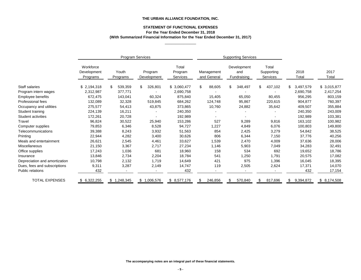# **STATEMENT OF FUNCTIONAL EXPENSES For the Year Ended December 31, 2018 (With Summarized Financial Information for the Year Ended December 31, 2017)**

 $\overline{\phantom{a}}$  , we can also the contract of  $\overline{\phantom{a}}$ 

|                               |                                             |                   | <b>Program Services</b> |                                     |                           | <b>Supporting Services</b>        |                                        |                             |               |
|-------------------------------|---------------------------------------------|-------------------|-------------------------|-------------------------------------|---------------------------|-----------------------------------|----------------------------------------|-----------------------------|---------------|
|                               | Workforce<br>Development<br><b>Programs</b> | Youth<br>Programs | Program<br>Development  | Total<br>Program<br><b>Services</b> | Management<br>and General | Development<br>and<br>Fundraising | Total<br>Supporting<br><b>Services</b> | 2018<br>Total               | 2017<br>Total |
| <b>Staff salaries</b>         | \$2,194,318                                 | \$<br>539,359     | \$<br>326,801           | \$3,060,477                         | 88,605<br>\$              | \$<br>348,497                     | \$<br>437,102                          | 3,497,579<br>\$             | \$3,015,877   |
| Program intern wages          | 2,312,987                                   | 377,771           |                         | 2,690,758                           |                           |                                   |                                        | 2,690,758                   | 2,417,254     |
| Employee benefits             | 672,475                                     | 143,041           | 60,324                  | 875,840                             | 15,405                    | 65,050                            | 80,455                                 | 956,295                     | 803,159       |
| <b>Professional fees</b>      | 132,089                                     | 32,328            | 519,845                 | 684,262                             | 124,748                   | 95,867                            | 220,615                                | 904,877                     | 760,397       |
| Occupancy and utilities       | 275,577                                     | 54,413            | 43,875                  | 373,865                             | 10,760                    | 24,882                            | 35,642                                 | 409,507                     | 355,884       |
| Student training              | 224,139                                     | 16,211            |                         | 240,350                             |                           |                                   |                                        | 240,350                     | 243,009       |
| Student activities            | 172,261                                     | 20,728            |                         | 192,989                             |                           |                                   |                                        | 192,989                     | 103,381       |
| Travel                        | 96,824                                      | 30,522            | 25,940                  | 153,286                             | 527                       | 9,289                             | 9,816                                  | 163,102                     | 100,982       |
| Computer supplies             | 79,853                                      | 6,346             | 8,528                   | 94,727                              | 1,227                     | 4,849                             | 6,076                                  | 100,803                     | 149,800       |
| Telecommunications            | 39,388                                      | 8,243             | 3,932                   | 51,563                              | 854                       | 2,425                             | 3,279                                  | 54,842                      | 38,525        |
| Printing                      | 22,944                                      | 4,282             | 3,400                   | 30,626                              | 806                       | 6,344                             | 7,150                                  | 37,776                      | 40,256        |
| Meals and entertainment       | 26,621                                      | 2,545             | 4,461                   | 33,627                              | 1,539                     | 2,470                             | 4,009                                  | 37,636                      | 28,006        |
| Miscellaneous                 | 21,150                                      | 3,367             | 2,717                   | 27,234                              | 1,146                     | 5,903                             | 7,049                                  | 34,283                      | 32,491        |
| Office supplies               | 17,243                                      | 1,036             | 681                     | 18,960                              | 158                       | 534                               | 692                                    | 19,652                      | 18,786        |
| Insurance                     | 13,846                                      | 2,734             | 2,204                   | 18,784                              | 541                       | 1,250                             | 1,791                                  | 20,575                      | 17,082        |
| Depreciation and amortization | 10,798                                      | 2,132             | 1,719                   | 14,649                              | 421                       | 975                               | 1,396                                  | 16,045                      | 18,395        |
| Dues, fees and subscriptions  | 9,311                                       | 3,287             | 2,149                   | 14,747                              | 119                       | 2,505                             | 2,624                                  | 17,371                      | 14,070        |
| Public relations              | 432                                         |                   |                         | 432                                 |                           |                                   |                                        | 432                         | 17,154        |
| <b>TOTAL EXPENSES</b>         | \$6,322,255                                 | \$1,248,345       | \$1,006,576             | \$8,577,176                         | 246,856                   | 570,840<br>\$                     | 817,696<br>\$                          | $\mathfrak{S}$<br>9,394,872 | \$8,174,508   |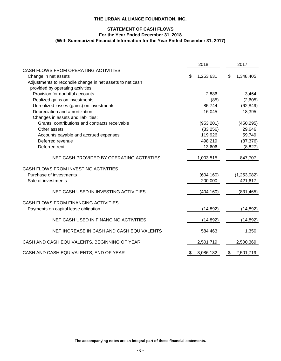#### **STATEMENT OF CASH FLOWS For the Year Ended December 31, 2018**

**(With Summarized Financial Information for the Year Ended December 31, 2017)**  $\overline{\phantom{a}}$  , where  $\overline{\phantom{a}}$ 

|                                                           | 2018            | 2017            |
|-----------------------------------------------------------|-----------------|-----------------|
| CASH FLOWS FROM OPERATING ACTIVITIES                      |                 |                 |
| Change in net assets                                      | \$<br>1,253,631 | \$<br>1,348,405 |
| Adjustments to reconcile change in net assets to net cash |                 |                 |
| provided by operating activities:                         |                 |                 |
| Provision for doubtful accounts                           | 2,886           | 3,464           |
| Realized gains on investments                             | (85)            | (2,605)         |
| Unrealized losses (gains) on investments                  | 85,744          | (62, 849)       |
| Depreciation and amortization                             | 16,045          | 18,395          |
| Changes in assets and liabilities:                        |                 |                 |
| Grants, contributions and contracts receivable            | (953, 201)      | (450, 295)      |
| Other assets                                              | (33, 256)       | 29,646          |
| Accounts payable and accrued expenses                     | 119,926         | 59,749          |
| Deferred revenue                                          | 498,219         | (87, 376)       |
| Deferred rent                                             | 13,606          | (8,827)         |
| NET CASH PROVIDED BY OPERATING ACTIVITIES                 | 1,003,515       | 847,707         |
| CASH FLOWS FROM INVESTING ACTIVITIES                      |                 |                 |
| Purchase of investments                                   | (604, 160)      | (1,253,082)     |
| Sale of investments                                       | 200,000         | 421,617         |
|                                                           |                 |                 |
| NET CASH USED IN INVESTING ACTIVITIES                     | (404, 160)      | (831, 465)      |
| CASH FLOWS FROM FINANCING ACTIVITIES                      |                 |                 |
| Payments on capital lease obligation                      | (14, 892)       | (14, 892)       |
| NET CASH USED IN FINANCING ACTIVITIES                     | (14, 892)       | (14, 892)       |
| NET INCREASE IN CASH AND CASH EQUIVALENTS                 | 584,463         | 1,350           |
| CASH AND CASH EQUIVALENTS, BEGINNING OF YEAR              | 2,501,719       | 2,500,369       |
| CASH AND CASH EQUIVALENTS, END OF YEAR                    | \$<br>3,086,182 | \$<br>2,501,719 |

**The accompanying notes are an integral part of these financial statements.**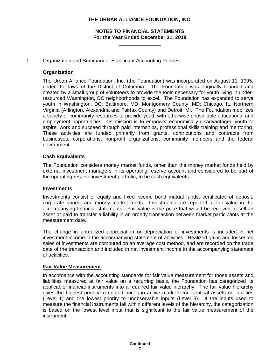## **NOTES TO FINANCIAL STATEMENTS For the Year Ended December 31, 2018**

\_\_\_\_\_\_\_\_\_\_\_\_\_\_\_

## 1. Organization and Summary of Significant Accounting Policies

## **Organization**

The Urban Alliance Foundation, Inc. (the Foundation) was incorporated on August 11, 1995, under the laws of the District of Columbia. The Foundation was originally founded and created by a small group of volunteers to provide the tools necessary for youth living in underresourced Washington, DC neighborhoods to excel. The Foundation has expanded to serve youth in Washington, DC; Baltimore, MD; Montgomery County, MD; Chicago, IL, Northern Virginia (Arlington, Alexandria and Fairfax County) and Detroit, MI. The Foundation mobilizes a variety of community resources to provide youth with otherwise unavailable educational and employment opportunities. Its mission is to empower economically-disadvantaged youth to aspire, work and succeed through paid internships, professional skills training and mentoring. These activities are funded primarily from grants, contributions and contracts from businesses, corporations, nonprofit organizations, community members and the federal government.

## **Cash Equivalents**

The Foundation considers money market funds, other than the money market funds held by external investment managers in its operating reserve account and considered to be part of the operating reserve investment portfolio, to be cash equivalents.

## **Investments**

Investments consist of equity and fixed-income bond mutual funds, certificates of deposit, corporate bonds, and money market funds. Investments are reported at fair value in the accompanying financial statements. Fair value is the price that would be received to sell an asset or paid to transfer a liability in an orderly transaction between market participants at the measurement date.

The change in unrealized appreciation or depreciation of investments is included in net investment income in the accompanying statement of activities. Realized gains and losses on sales of investments are computed on an average cost method, and are recorded on the trade date of the transaction and included in net investment income in the accompanying statement of activities.

## **Fair Value Measurement**

In accordance with the accounting standards for fair value measurement for those assets and liabilities measured at fair value on a recurring basis, the Foundation has categorized its applicable financial instruments into a required fair value hierarchy. The fair value hierarchy gives the highest priority to quoted prices in active markets for identical assets or liabilities (Level 1) and the lowest priority to unobservable inputs (Level 3). If the inputs used to measure the financial instruments fall within different levels of the hierarchy, the categorization is based on the lowest level input that is significant to the fair value measurement of the instrument.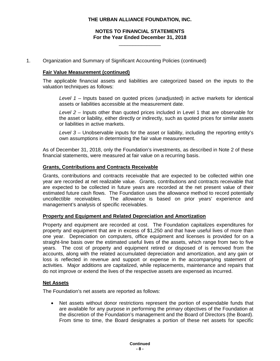## **NOTES TO FINANCIAL STATEMENTS For the Year Ended December 31, 2018**

\_\_\_\_\_\_\_\_\_\_\_\_\_\_\_

1. Organization and Summary of Significant Accounting Policies (continued)

### **Fair Value Measurement (continued)**

The applicable financial assets and liabilities are categorized based on the inputs to the valuation techniques as follows:

*Level 1* – Inputs based on quoted prices (unadjusted) in active markets for identical assets or liabilities accessible at the measurement date.

*Level 2* – Inputs other than quoted prices included in Level 1 that are observable for the asset or liability, either directly or indirectly, such as quoted prices for similar assets or liabilities in active markets.

*Level 3* – Unobservable inputs for the asset or liability, including the reporting entity's own assumptions in determining the fair value measurement.

As of December 31, 2018, only the Foundation's investments, as described in Note 2 of these financial statements, were measured at fair value on a recurring basis.

#### **Grants, Contributions and Contracts Receivable**

Grants, contributions and contracts receivable that are expected to be collected within one year are recorded at net realizable value. Grants, contributions and contracts receivable that are expected to be collected in future years are recorded at the net present value of their estimated future cash flows. The Foundation uses the allowance method to record potentially uncollectible receivables. The allowance is based on prior years' experience and management's analysis of specific receivables.

#### **Property and Equipment and Related Depreciation and Amortization**

Property and equipment are recorded at cost. The Foundation capitalizes expenditures for property and equipment that are in excess of \$1,250 and that have useful lives of more than one year. Depreciation on computers, office equipment and licenses is provided for on a straight-line basis over the estimated useful lives of the assets, which range from two to five years. The cost of property and equipment retired or disposed of is removed from the accounts, along with the related accumulated depreciation and amortization, and any gain or loss is reflected in revenue and support or expense in the accompanying statement of activities. Major additions are capitalized, while replacements, maintenance and repairs that do not improve or extend the lives of the respective assets are expensed as incurred.

#### **Net Assets**

The Foundation's net assets are reported as follows:

• Net assets without donor restrictions represent the portion of expendable funds that are available for any purpose in performing the primary objectives of the Foundation at the discretion of the Foundation's management and the Board of Directors (the Board). From time to time, the Board designates a portion of these net assets for specific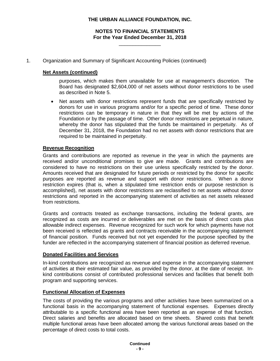## **NOTES TO FINANCIAL STATEMENTS For the Year Ended December 31, 2018**

\_\_\_\_\_\_\_\_\_\_\_\_\_\_\_

1. Organization and Summary of Significant Accounting Policies (continued)

### **Net Assets (continued)**

purposes, which makes them unavailable for use at management's discretion. The Board has designated \$2,604,000 of net assets without donor restrictions to be used as described in Note 5.

Net assets with donor restrictions represent funds that are specifically restricted by donors for use in various programs and/or for a specific period of time. These donor restrictions can be temporary in nature in that they will be met by actions of the Foundation or by the passage of time. Other donor restrictions are perpetual in nature, whereby the donor has stipulated that the funds be maintained in perpetuity. As of December 31, 2018, the Foundation had no net assets with donor restrictions that are required to be maintained in perpetuity.

## **Revenue Recognition**

Grants and contributions are reported as revenue in the year in which the payments are received and/or unconditional promises to give are made. Grants and contributions are considered to have no restrictions on their use unless specifically restricted by the donor. Amounts received that are designated for future periods or restricted by the donor for specific purposes are reported as revenue and support with donor restrictions. When a donor restriction expires (that is, when a stipulated time restriction ends or purpose restriction is accomplished), net assets with donor restrictions are reclassified to net assets without donor restrictions and reported in the accompanying statement of activities as net assets released from restrictions.

Grants and contracts treated as exchange transactions, including the federal grants, are recognized as costs are incurred or deliverables are met on the basis of direct costs plus allowable indirect expenses. Revenue recognized for such work for which payments have not been received is reflected as grants and contracts receivable in the accompanying statement of financial position. Funds received but not yet expended for the purpose specified by the funder are reflected in the accompanying statement of financial position as deferred revenue.

#### **Donated Facilities and Services**

In-kind contributions are recognized as revenue and expense in the accompanying statement of activities at their estimated fair value, as provided by the donor, at the date of receipt. Inkind contributions consist of contributed professional services and facilities that benefit both program and supporting services.

#### **Functional Allocation of Expenses**

The costs of providing the various programs and other activities have been summarized on a functional basis in the accompanying statement of functional expenses. Expenses directly attributable to a specific functional area have been reported as an expense of that function. Direct salaries and benefits are allocated based on time sheets. Shared costs that benefit multiple functional areas have been allocated among the various functional areas based on the percentage of direct costs to total costs.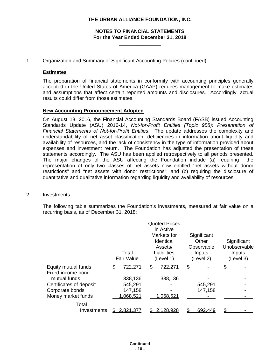## **NOTES TO FINANCIAL STATEMENTS For the Year Ended December 31, 2018**

\_\_\_\_\_\_\_\_\_\_\_\_\_\_\_

1. Organization and Summary of Significant Accounting Policies (continued)

### **Estimates**

The preparation of financial statements in conformity with accounting principles generally accepted in the United States of America (GAAP) requires management to make estimates and assumptions that affect certain reported amounts and disclosures. Accordingly, actual results could differ from those estimates.

## **New Accounting Pronouncement Adopted**

On August 18, 2016, the Financial Accounting Standards Board (FASB) issued Accounting Standards Update (ASU) 2016-14, *Not-for-Profit Entities (Topic 958): Presentation of Financial Statements of Not-for-Profit Entities*. The update addresses the complexity and understandability of net asset classification, deficiencies in information about liquidity and availability of resources, and the lack of consistency in the type of information provided about expenses and investment return. The Foundation has adjusted the presentation of these statements accordingly. The ASU has been applied retrospectively to all periods presented. The major changes of the ASU affecting the Foundation include (a) requiring representation of only two classes of net assets now entitled "net assets without donor restrictions" and "net assets with donor restrictions"; and (b) requiring the disclosure of quantitative and qualitative information regarding liquidity and availability of resources.

#### 2. Investments

The following table summarizes the Foundation's investments, measured at fair value on a recurring basis, as of December 31, 2018:

|                         | Total<br>Fair Value | <b>Quoted Prices</b><br>in Active<br>Markets for<br>Identical<br>Assets/<br>Liabilities<br>(Level 1) | Significant<br>Other<br>Observable<br>Inputs<br><u>(Level 2)</u> | Significant<br>Unobservable<br>Inputs<br>(Level 3) |
|-------------------------|---------------------|------------------------------------------------------------------------------------------------------|------------------------------------------------------------------|----------------------------------------------------|
| Equity mutual funds     | \$<br>722,271       | \$<br>722,271                                                                                        | \$                                                               | \$                                                 |
| Fixed-income bond       |                     |                                                                                                      |                                                                  |                                                    |
| mutual funds            | 338,136             | 338,136                                                                                              |                                                                  |                                                    |
| Certificates of deposit | 545,291             |                                                                                                      | 545,291                                                          |                                                    |
| Corporate bonds         | 147,158             |                                                                                                      | 147,158                                                          |                                                    |
| Money market funds      | 1,068,521           | 1,068,521                                                                                            |                                                                  |                                                    |
| Total                   |                     |                                                                                                      |                                                                  |                                                    |
| Investments             | 2,821,377           | 2,128,928                                                                                            | 692,449                                                          |                                                    |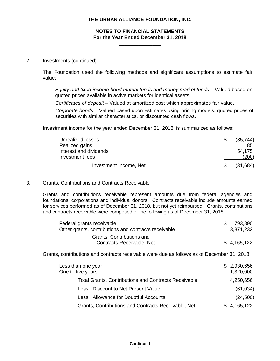## **NOTES TO FINANCIAL STATEMENTS For the Year Ended December 31, 2018**

\_\_\_\_\_\_\_\_\_\_\_\_\_\_\_

#### 2. Investments (continued)

The Foundation used the following methods and significant assumptions to estimate fair value:

*Equity and fixed-income bond mutual funds and money market funds –* Valued based on quoted prices available in active markets for identical assets.

*Certificates of deposit –* Valued at amortized cost which approximates fair value.

*Corporate bonds –* Valued based upon estimates using pricing models, quoted prices of securities with similar characteristics, or discounted cash flows.

Investment income for the year ended December 31, 2018, is summarized as follows:

| Unrealized losses      | (85, 744) |
|------------------------|-----------|
| Realized gains         | 85        |
| Interest and dividends | 54.175    |
| Investment fees        | (200)     |
| Investment Income, Net | (31.684)  |

#### 3. Grants, Contributions and Contracts Receivable

Grants and contributions receivable represent amounts due from federal agencies and foundations, corporations and individual donors. Contracts receivable include amounts earned for services performed as of December 31, 2018, but not yet reimbursed. Grants, contributions and contracts receivable were composed of the following as of December 31, 2018:

| Federal grants receivable                            | 793.890     |
|------------------------------------------------------|-------------|
| Other grants, contributions and contracts receivable | 3,371,232   |
| Grants, Contributions and                            |             |
| Contracts Receivable, Net                            | \$4,165,122 |

Grants, contributions and contracts receivable were due as follows as of December 31, 2018:

| Less than one year<br>One to five years                     | \$2,930,656<br>1,320,000 |
|-------------------------------------------------------------|--------------------------|
| <b>Total Grants, Contributions and Contracts Receivable</b> | 4,250,656                |
| Less: Discount to Net Present Value                         | (61, 034)                |
| Less: Allowance for Doubtful Accounts                       | (24, 500)                |
| Grants, Contributions and Contracts Receivable, Net         | 4,165,122                |
|                                                             |                          |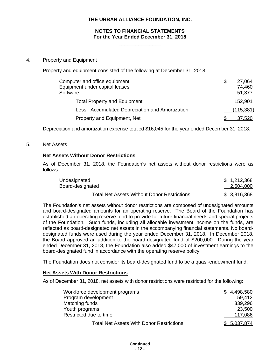#### **NOTES TO FINANCIAL STATEMENTS For the Year Ended December 31, 2018** \_\_\_\_\_\_\_\_\_\_\_\_\_\_\_

#### 4. Property and Equipment

Property and equipment consisted of the following at December 31, 2018:

| Computer and office equipment<br>Equipment under capital leases<br>Software | \$<br>27,064<br>74,460<br>51,377 |
|-----------------------------------------------------------------------------|----------------------------------|
| <b>Total Property and Equipment</b>                                         | 152,901                          |
| Less: Accumulated Depreciation and Amortization                             | (115, 381)                       |
| Property and Equipment, Net                                                 | 37.520                           |

Depreciation and amortization expense totaled \$16,045 for the year ended December 31, 2018.

#### 5. Net Assets

#### **Net Assets Without Donor Restrictions**

As of December 31, 2018, the Foundation's net assets without donor restrictions were as follows:

| Undesignated                                | \$1,212,368 |
|---------------------------------------------|-------------|
| Board-designated                            | 2,604,000   |
| Total Net Assets Without Donor Restrictions | \$3,816,368 |

The Foundation's net assets without donor restrictions are composed of undesignated amounts and board-designated amounts for an operating reserve. The Board of the Foundation has established an operating reserve fund to provide for future financial needs and special projects of the Foundation. Such funds, including all allocable investment income on the funds, are reflected as board-designated net assets in the accompanying financial statements. No boarddesignated funds were used during the year ended December 31, 2018. In December 2018, the Board approved an addition to the board-designated fund of \$200,000. During the year ended December 31, 2018, the Foundation also added \$47,000 of investment earnings to the board-designated fund in accordance with the operating reserve policy.

The Foundation does not consider its board-designated fund to be a quasi-endowment fund.

#### **Net Assets With Donor Restrictions**

As of December 31, 2018, net assets with donor restrictions were restricted for the following:

| Workforce development programs                  | \$4,498,580 |
|-------------------------------------------------|-------------|
| Program development                             | 59.412      |
| Matching funds                                  | 339,296     |
| Youth programs                                  | 23,500      |
| Restricted due to time                          | 117,086     |
| <b>Total Net Assets With Donor Restrictions</b> | \$5,037,874 |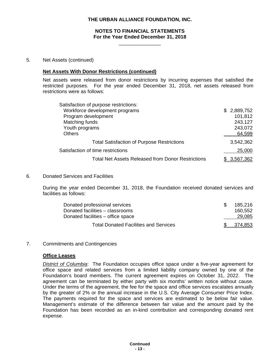#### **NOTES TO FINANCIAL STATEMENTS For the Year Ended December 31, 2018**

\_\_\_\_\_\_\_\_\_\_\_\_\_\_\_

#### 5. Net Assets (continued)

#### **Net Assets With Donor Restrictions (continued)**

Net assets were released from donor restrictions by incurring expenses that satisfied the restricted purposes. For the year ended December 31, 2018, net assets released from restrictions were as follows:

| Satisfaction of purpose restrictions:             |             |
|---------------------------------------------------|-------------|
| Workforce development programs                    | \$2,889,752 |
| Program development                               | 101,812     |
| Matching funds                                    | 243,127     |
| Youth programs                                    | 243,072     |
| <b>Others</b>                                     | 64,599      |
| <b>Total Satisfaction of Purpose Restrictions</b> | 3,542,362   |
| Satisfaction of time restrictions                 | 25,000      |
| Total Net Assets Released from Donor Restrictions | 3,567,362   |

6. Donated Services and Facilities

During the year ended December 31, 2018, the Foundation received donated services and facilities as follows:

| Donated professional services                | 185.216    |
|----------------------------------------------|------------|
| Donated facilities – classrooms              | 160.552    |
| Donated facilities – office space            | 29,085     |
| <b>Total Donated Facilities and Services</b> | \$ 374.853 |

7. Commitments and Contingencies

#### **Office Leases**

*District of Columbia*: The Foundation occupies office space under a five-year agreement for office space and related services from a limited liability company owned by one of the Foundation's board members. The current agreement expires on October 31, 2022. The agreement can be terminated by either party with six months' written notice without cause. Under the terms of the agreement, the fee for the space and office services escalates annually by the greater of 2% or the annual increase in the U.S. City Average Consumer Price Index. The payments required for the space and services are estimated to be below fair value. Management's estimate of the difference between fair value and the amount paid by the Foundation has been recorded as an in-kind contribution and corresponding donated rent expense.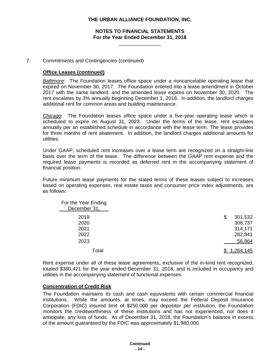## **NOTES TO FINANCIAL STATEMENTS For the Year Ended December 31, 2018**

\_\_\_\_\_\_\_\_\_\_\_\_\_\_\_

## 7. Commitments and Contingencies (continued)

## **Office Leases (continued)**

*Baltimore*: The Foundation leases office space under a noncancelable operating lease that expired on November 30, 2017. The Foundation entered into a lease amendment in October 2017 with the same landlord, and the amended lease expires on November 30, 2020. The rent escalates by 3% annually beginning December 1, 2018. In addition, the landlord charges additional rent for common areas and building maintenance.

*Chicago*: The Foundation leases office space under a five-year operating lease which is scheduled to expire on August 31, 2023. Under the terms of the lease, rent escalates annually per an established schedule in accordance with the lease term. The lease provides for three months of rent abatement. In addition, the landlord charges additional amounts for utilities.

Under GAAP, scheduled rent increases over a lease term are recognized on a straight-line basis over the term of the lease. The difference between the GAAP rent expense and the required lease payments is recorded as deferred rent in the accompanying statement of financial position.

Future minimum lease payments for the stated terms of these leases subject to increases based on operating expenses, real estate taxes and consumer price index adjustments, are as follows:

| For the Year Ending<br>December 31, |                 |
|-------------------------------------|-----------------|
| 2019                                | \$<br>301,532   |
| 2020                                | 308,737         |
| 2021                                | 314,171         |
| 2022                                | 282,841         |
| 2023                                | 56,864          |
| Total                               | <u>.264,145</u> |

Rent expense under all of these lease agreements, exclusive of the in-kind rent recognized, totaled \$380,421 for the year ended December 31, 2018, and is included in occupancy and utilities in the accompanying statement of functional expenses.

## **Concentration of Credit Risk**

The Foundation maintains its cash and cash equivalents with certain commercial financial institutions. While the amounts, at times, may exceed the Federal Deposit Insurance Corporation (FDIC) insured limit of \$250,000 per depositor per institution, the Foundation monitors the creditworthiness of these institutions and has not experienced, nor does it anticipate, any loss of funds. As of December 31, 2018, the Foundation's balance in excess of the amount guaranteed by the FDIC was approximately \$1,980,000.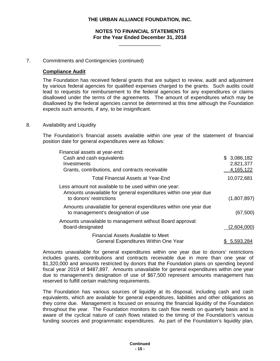### **NOTES TO FINANCIAL STATEMENTS For the Year Ended December 31, 2018**

\_\_\_\_\_\_\_\_\_\_\_\_\_\_\_

#### 7. Commitments and Contingencies (continued)

#### **Compliance Audit**

The Foundation has received federal grants that are subject to review, audit and adjustment by various federal agencies for qualified expenses charged to the grants. Such audits could lead to requests for reimbursement to the federal agencies for any expenditures or claims disallowed under the terms of the agreements. The amount of expenditures which may be disallowed by the federal agencies cannot be determined at this time although the Foundation expects such amounts, if any, to be insignificant.

#### 8. Availability and Liquidity

The Foundation's financial assets available within one year of the statement of financial position date for general expenditures were as follows:

| Financial assets at year-end:                                                                                                                        |             |
|------------------------------------------------------------------------------------------------------------------------------------------------------|-------------|
| Cash and cash equivalents                                                                                                                            | \$3,086,182 |
| Investments                                                                                                                                          | 2,821,377   |
| Grants, contributions, and contracts receivable                                                                                                      | 4,165,122   |
| <b>Total Financial Assets at Year-End</b>                                                                                                            | 10,072,681  |
| Less amount not available to be used within one year:<br>Amounts unavailable for general expenditures within one year due<br>to donors' restrictions | (1,807,897) |
| Amounts unavailable for general expenditures within one year due<br>to management's designation of use                                               | (67, 500)   |
| Amounts unavailable to management without Board approval:<br>Board-designated                                                                        | (2,604,000) |
| <b>Financial Assets Available to Meet</b><br><b>General Expenditures Within One Year</b>                                                             | 5,593,284   |

Amounts unavailable for general expenditures within one year due to donors' restrictions includes grants, contributions and contracts receivable due in more than one year of \$1,320,000 and amounts restricted by donors that the Foundation plans on spending beyond fiscal year 2019 of \$487,897. Amounts unavailable for general expenditures within one year due to management's designation of use of \$67,500 represent amounts management has reserved to fulfill certain matching requirements.

The Foundation has various sources of liquidity at its disposal, including cash and cash equivalents, which are available for general expenditures, liabilities and other obligations as they come due. Management is focused on ensuring the financial liquidity of the Foundation throughout the year. The Foundation monitors its cash flow needs on quarterly basis and is aware of the cyclical nature of cash flows related to the timing of the Foundation's various funding sources and programmatic expenditures. As part of the Foundation's liquidity plan,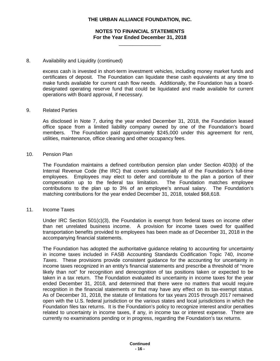## **NOTES TO FINANCIAL STATEMENTS For the Year Ended December 31, 2018**

\_\_\_\_\_\_\_\_\_\_\_\_\_\_\_

#### 8. Availability and Liquidity (continued)

excess cash is invested in short-term investment vehicles, including money market funds and certificates of deposit. The Foundation can liquidate these cash equivalents at any time to make funds available for current cash flow needs. Additionally, the Foundation has a boarddesignated operating reserve fund that could be liquidated and made available for current operations with Board approval, if necessary.

#### 9. Related Parties

As disclosed in Note 7, during the year ended December 31, 2018, the Foundation leased office space from a limited liability company owned by one of the Foundation's board members. The Foundation paid approximately \$245,000 under this agreement for rent, utilities, maintenance, office cleaning and other occupancy fees.

#### 10. Pension Plan

The Foundation maintains a defined contribution pension plan under Section 403(b) of the Internal Revenue Code (the IRC) that covers substantially all of the Foundation's full-time employees. Employees may elect to defer and contribute to the plan a portion of their compensation up to the federal tax limitation. The Foundation matches employee contributions to the plan up to 3% of an employee's annual salary. The Foundation's matching contributions for the year ended December 31, 2018, totaled \$68,618.

#### 11. Income Taxes

Under IRC Section 501(c)(3), the Foundation is exempt from federal taxes on income other than net unrelated business income. A provision for income taxes owed for qualified transportation benefits provided to employees has been made as of December 31, 2018 in the accompanying financial statements.

The Foundation has adopted the authoritative guidance relating to accounting for uncertainty in income taxes included in FASB Accounting Standards Codification Topic 740, *Income Taxes*. These provisions provide consistent guidance for the accounting for uncertainty in income taxes recognized in an entity's financial statements and prescribe a threshold of "more likely than not" for recognition and derecognition of tax positions taken or expected to be taken in a tax return. The Foundation evaluated its uncertainty in income taxes for the year ended December 31, 2018, and determined that there were no matters that would require recognition in the financial statements or that may have any effect on its tax-exempt status. As of December 31, 2018, the statute of limitations for tax years 2015 through 2017 remained open with the U.S. federal jurisdiction or the various states and local jurisdictions in which the Foundation files tax returns. It is the Foundation's policy to recognize interest and/or penalties related to uncertainty in income taxes, if any, in income tax or interest expense. There are currently no examinations pending or in progress, regarding the Foundation's tax returns.